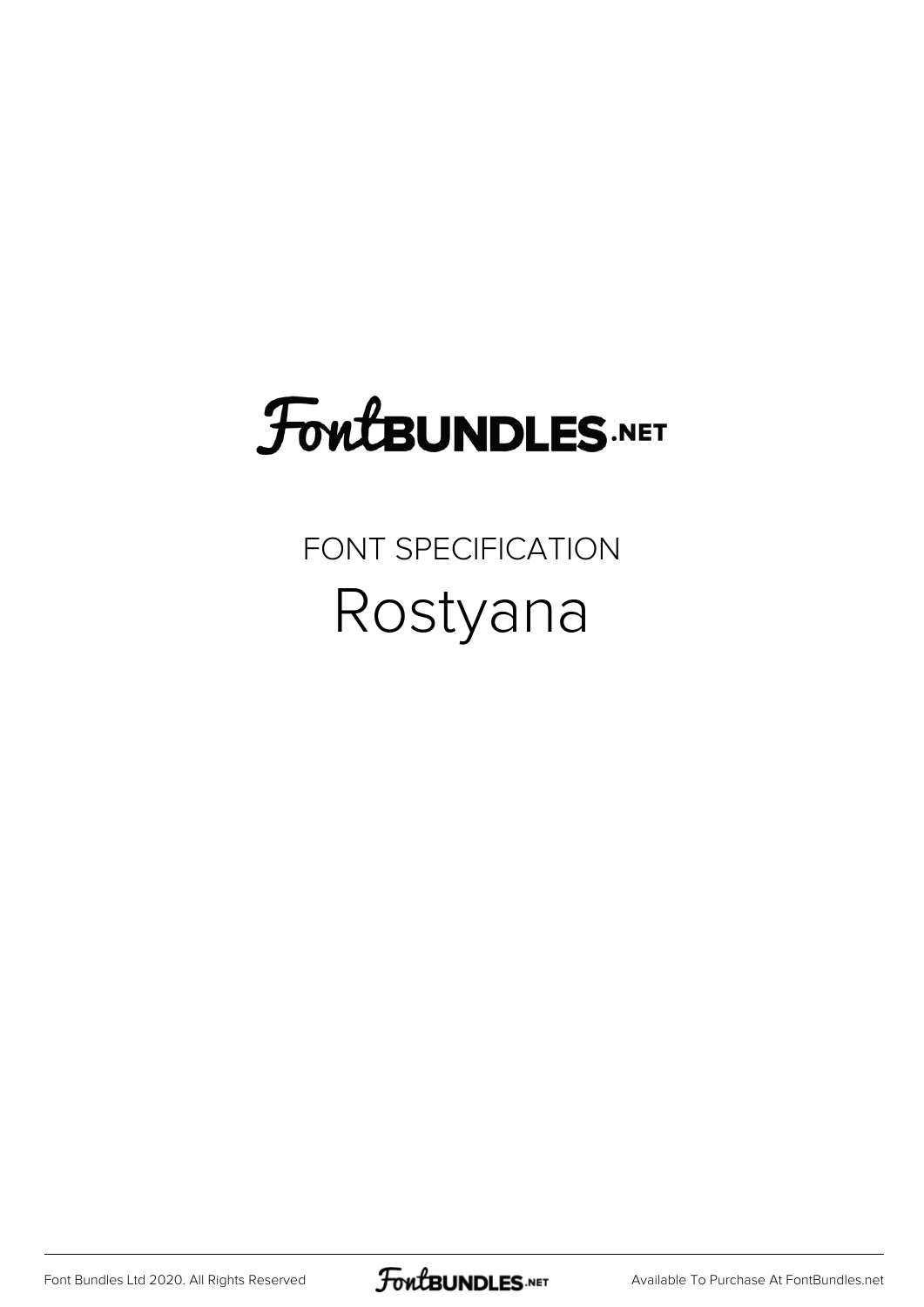# **FoutBUNDLES.NET**

#### FONT SPECIFICATION Rostyana

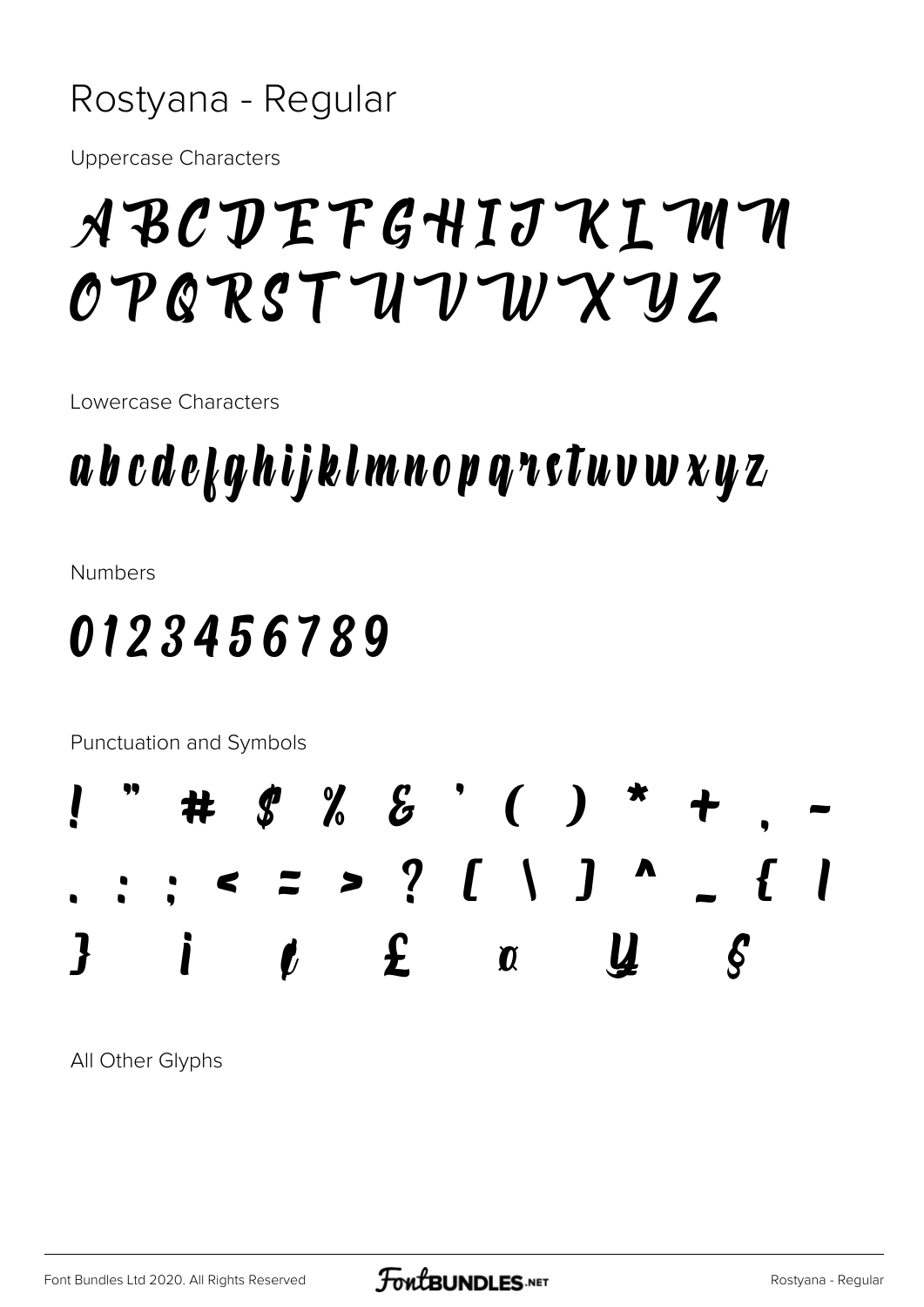#### Rostyana - Regular

**Uppercase Characters** 

# ABCDEFGHIJKIMM OPQRSTUVWXYZ

Lowercase Characters

## a b c d e k q h i j k l m n o p q n s t u v w x y z

**Numbers** 

### 0123456789

Punctuation and Symbols



All Other Glyphs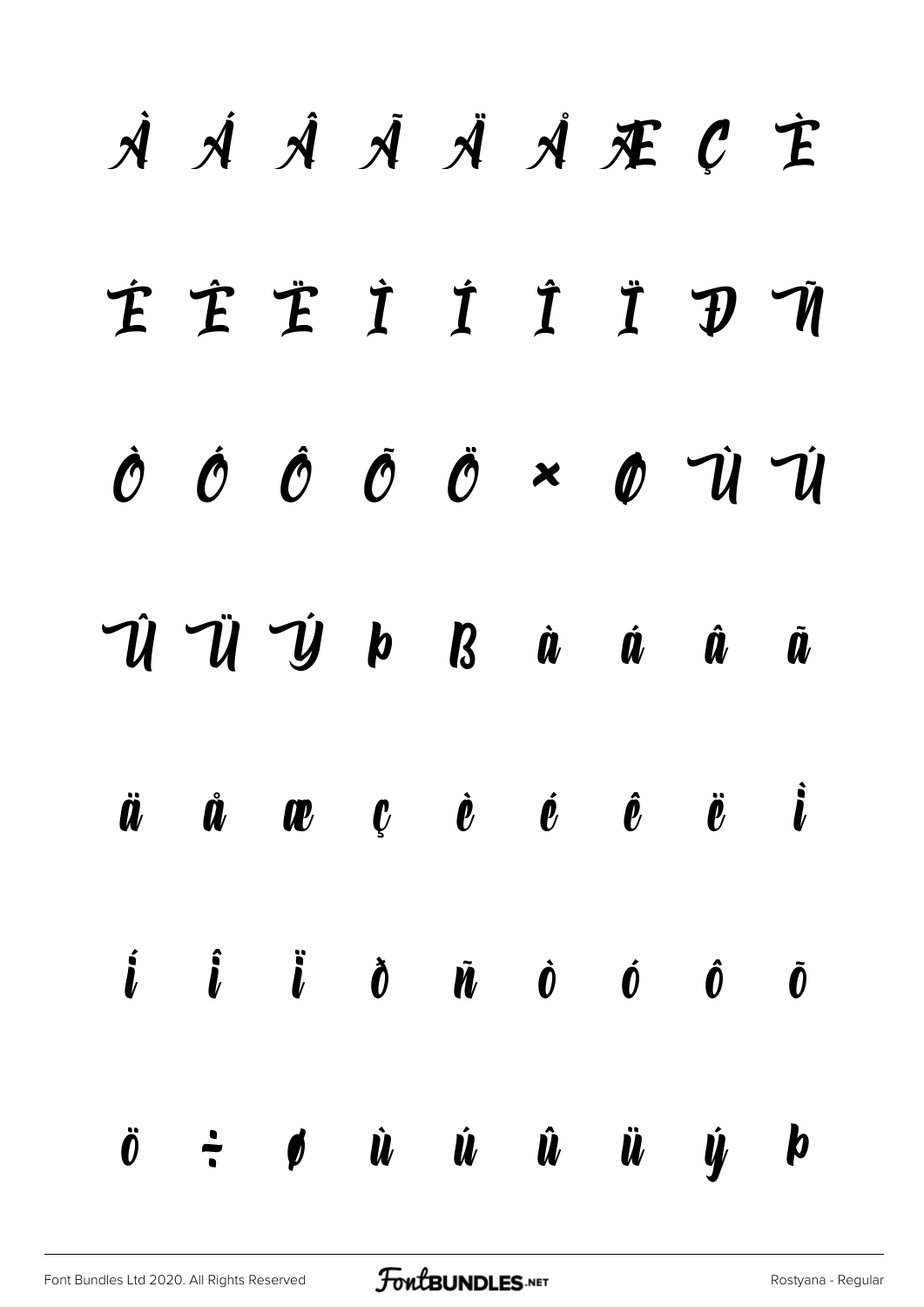# À Á Â Ã Ä Å Æ Ç È É Ê Ë Ì Í Î Ï Ð Ñ Ò Ó Ô Õ Ö × Ø Ù Ú Û Ü Ý Þ ß à á â ã  $\ddot{a}$   $\ddot{a}$   $\bf w$   $\dot{c}$   $\dot{e}$   $\dot{e}$   $\ddot{e}$   $\ddot{e}$   $\ddot{e}$ í î ï ð ñ ò ó ô õ ö ÷ ø ù ú û ü ý þ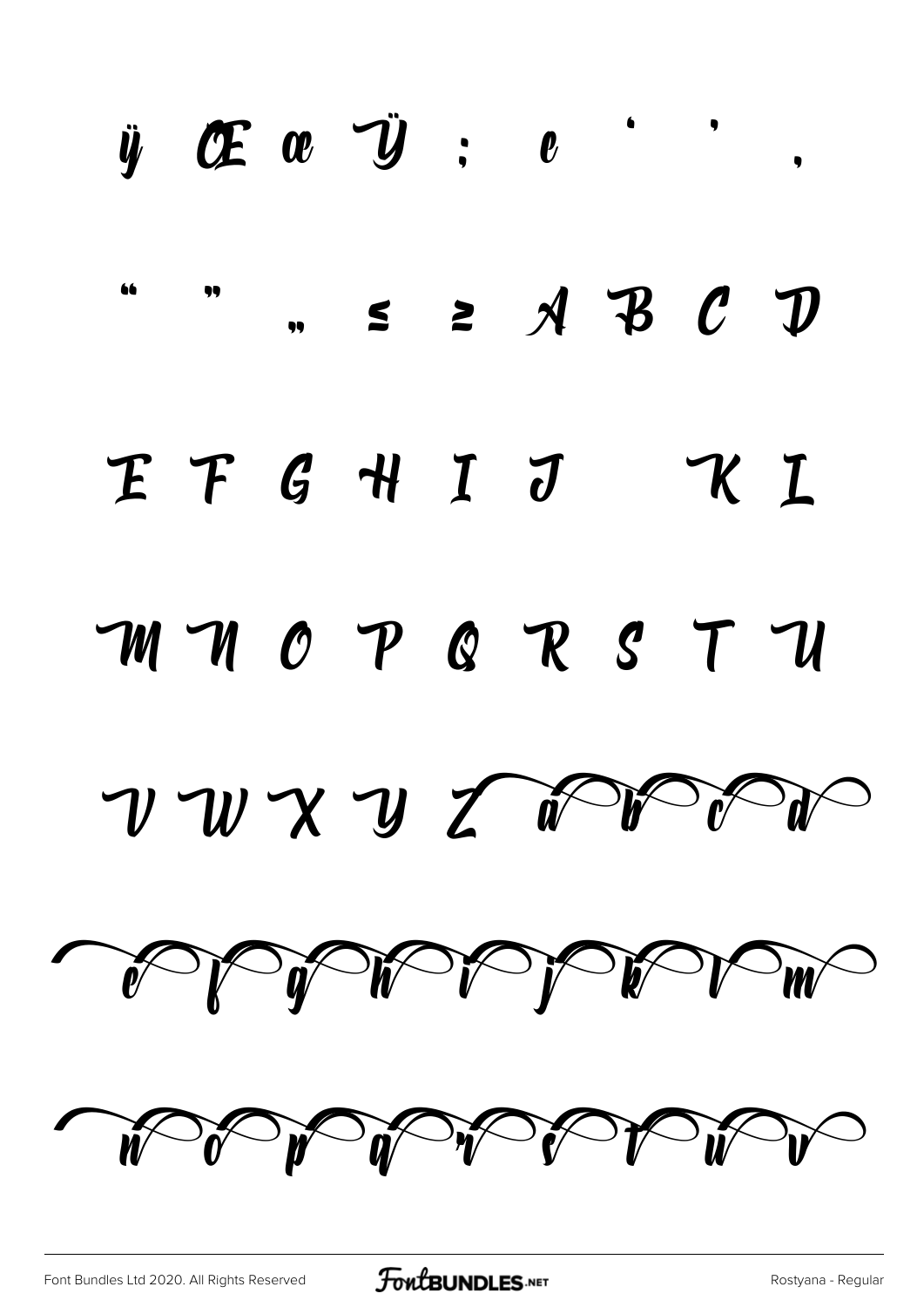|                            | $\ddot{y}$ OE $\alpha$ V $:$ $e$ |           |          |                                      |    | $\bullet$                                                             |
|----------------------------|----------------------------------|-----------|----------|--------------------------------------|----|-----------------------------------------------------------------------|
| 66                         |                                  | $\bullet$ |          | $\leq$ $\geq$ $\land$ $\neq$ $\circ$ |    | $\bm{\mathcal{D}}$                                                    |
| $\boldsymbol{\mathcal{F}}$ |                                  |           | FGHIJ KL |                                      |    |                                                                       |
|                            | MMOPQRS                          |           |          |                                      | TU |                                                                       |
|                            |                                  |           |          |                                      |    | $\n  W X W Z W W V W W W W W W W W W W W W W W W W W W W W W W W W W$ |
|                            |                                  |           |          |                                      |    | THE STRIP OF THE WAY                                                  |
|                            |                                  |           |          |                                      |    |                                                                       |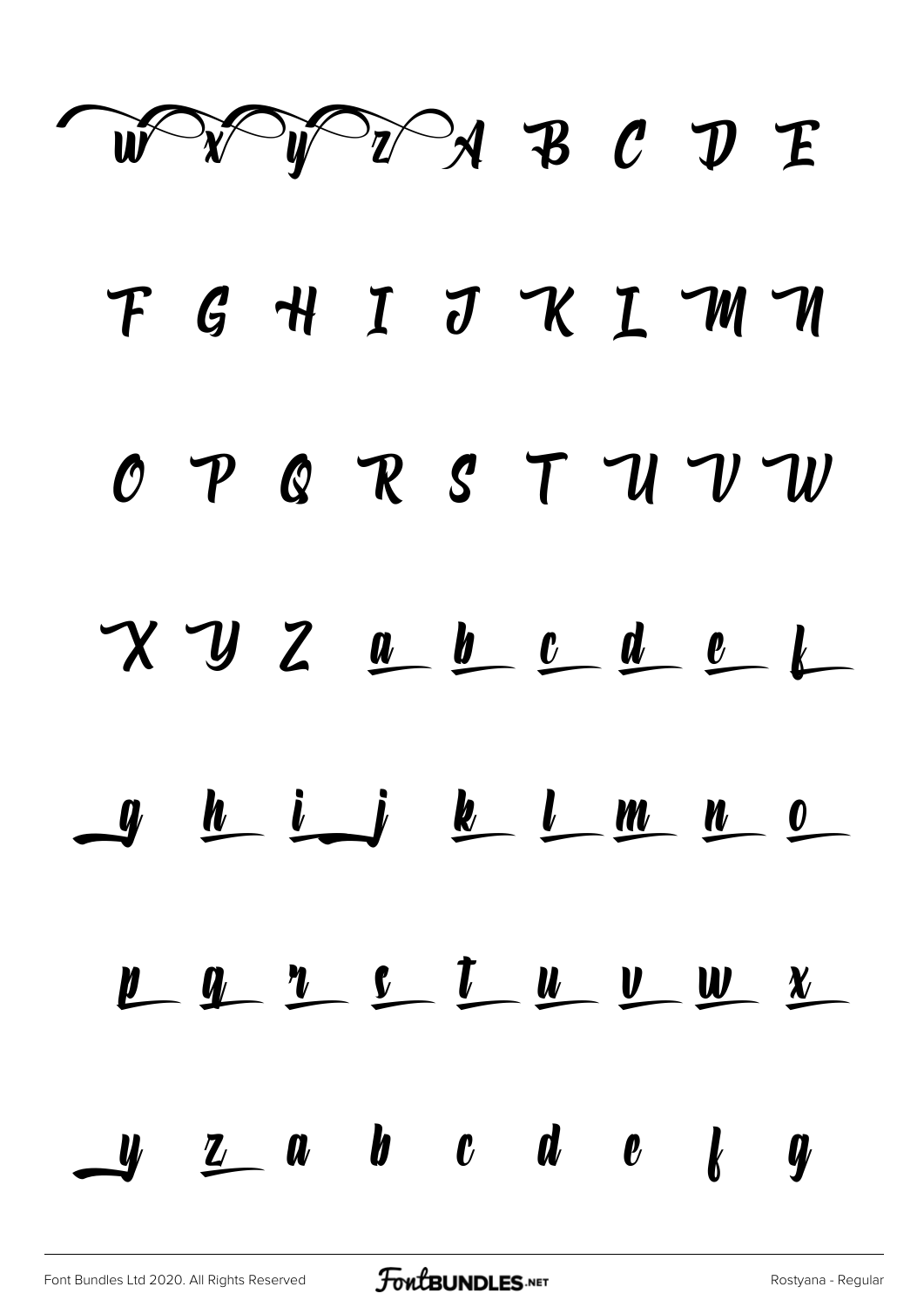

F G H I J K I M M OPQRSTUVW  $X$   $Y$   $Z$   $\underline{a}$   $\underline{b}$   $\underline{c}$   $\underline{d}$   $\underline{e}$   $\underline{b}$  $9$   $h$   $i$   $j$   $k$   $l$   $m$   $n$   $o$  $\frac{1}{2}$  a  $\frac{1}{2}$   $\frac{1}{2}$   $\frac{1}{2}$   $\frac{1}{2}$   $\frac{1}{2}$   $\frac{1}{2}$   $\frac{1}{2}$   $\frac{1}{2}$   $\frac{1}{2}$   $\frac{1}{2}$   $\frac{1}{2}$   $\frac{1}{2}$   $\frac{1}{2}$   $\frac{1}{2}$   $\frac{1}{2}$   $\frac{1}{2}$   $\frac{1}{2}$   $\frac{1}{2}$   $\frac{1}{2}$   $\frac{1}{2}$   $\frac{1}{2}$  $\mathbf{u}$   $\mathbf{z}$  a  $\mathbf{b}$   $\mathbf{c}$  d  $\mathbf{e}$   $\mathbf{k}$   $\mathbf{q}$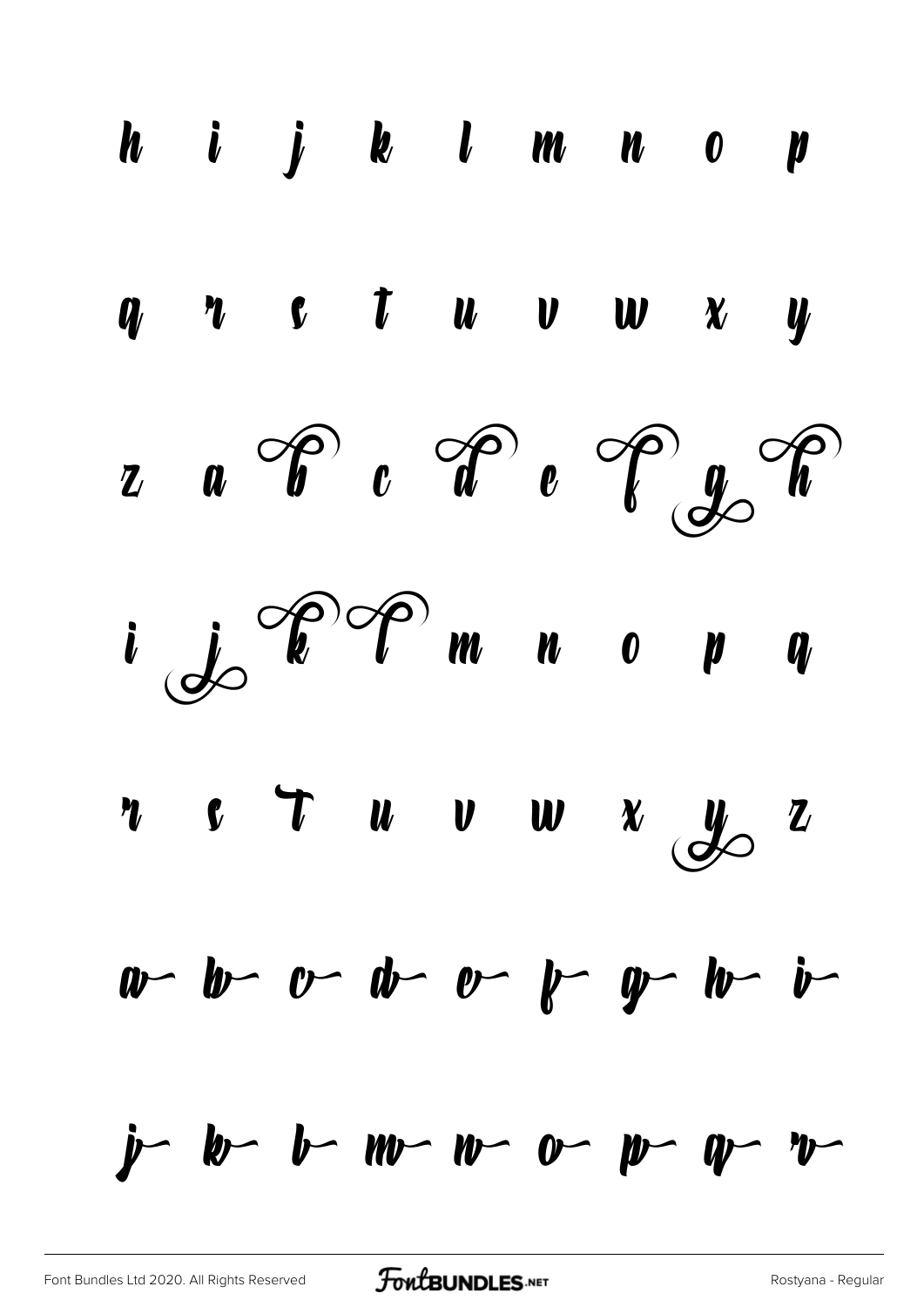